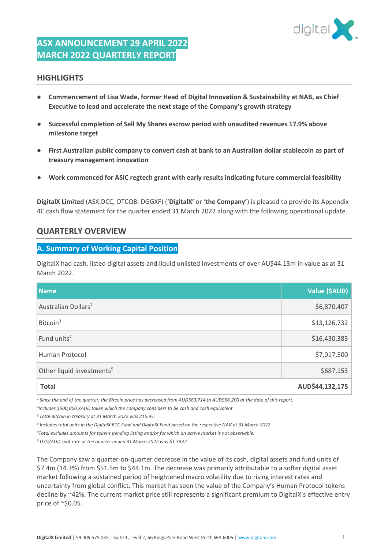

## **ASX ANNOUNCEMENT 29 APRIL 2022 MARCH 2022 QUARTERLY REPORT**

## **HIGHLIGHTS**

- **Commencement of Lisa Wade, former Head of Digital Innovation & Sustainability at NAB, as Chief Executive to lead and accelerate the next stage of the Company's growth strategy**
- **Successful completion of Sell My Shares escrow period with unaudited revenues 17.9% above milestone target**
- **First Australian public company to convert cash at bank to an Australian dollar stablecoin as part of treasury management innovation**
- **Work commenced for ASIC regtech grant with early results indicating future commercial feasibility**

**DigitalX Limited** (ASX:DCC, OTCQB: DGGXF) ('**DigitalX'** or '**the Company'**) is pleased to provide its Appendix 4C cash flow statement for the quarter ended 31 March 2022 along with the following operational update.

## **QUARTERLY OVERVIEW**

### **A. Summary of Working Capital Position**

DigitalX had cash, listed digital assets and liquid unlisted investments of over AU\$44.13m in value as at 31 March 2022.

| <b>Name</b>                           | Value (\$AUD)   |
|---------------------------------------|-----------------|
| Australian Dollars <sup>2</sup>       | \$6,870,407     |
| Bitcoin <sup>3</sup>                  | \$13,126,732    |
| Fund units <sup>4</sup>               | \$16,430,383    |
| Human Protocol                        | \$7,017,500     |
| Other liquid investments <sup>5</sup> | \$687,153       |
| <b>Total</b>                          | AUD\$44,132,175 |

<sup>1</sup> Since the end of the quarter, the Bitcoin price has decreased from AUD\$63,714 to AUD\$56,200 at the date of this report.

*2 Includes \$500,000 XAUD token which the company considers to be cash and cash equivalent.*

*<sup>3</sup>Total Bitcoin in treasury at 31 March 2022 was 215.95.*

*4 Includes total units in the DigitalX BTC Fund and DigitalX Fund based on the respective NAV at 31 March 2022.*

*<sup>5</sup>Total excludes amounts for tokens pending listing and/or for which an active market is not observable.*

*<sup>6</sup> USD/AUD spot rate at the quarter ended 31 March 2022 was \$1.3337.*

The Company saw a quarter-on-quarter decrease in the value of its cash, digital assets and fund units of \$7.4m (14.3%) from \$51.5m to \$44.1m. The decrease was primarily attributable to a softer digital asset market following a sustained period of heightened macro volatility due to rising interest rates and uncertainty from global conflict. This market has seen the value of the Company's Human Protocol tokens decline by ~42%. The current market price still represents a significant premium to DigitalX's effective entry price of ~\$0.05.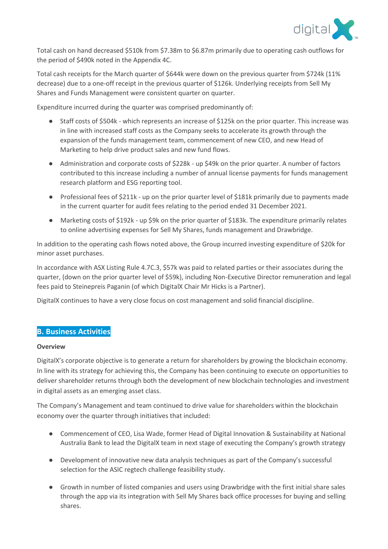

Total cash on hand decreased \$510k from \$7.38m to \$6.87m primarily due to operating cash outflows for the period of \$490k noted in the Appendix 4C.

Total cash receipts for the March quarter of \$644k were down on the previous quarter from \$724k (11% decrease) due to a one-off receipt in the previous quarter of \$126k. Underlying receipts from Sell My Shares and Funds Management were consistent quarter on quarter.

Expenditure incurred during the quarter was comprised predominantly of:

- Staff costs of \$504k which represents an increase of \$125k on the prior quarter. This increase was in line with increased staff costs as the Company seeks to accelerate its growth through the expansion of the funds management team, commencement of new CEO, and new Head of Marketing to help drive product sales and new fund flows.
- Administration and corporate costs of \$228k up \$49k on the prior quarter. A number of factors contributed to this increase including a number of annual license payments for funds management research platform and ESG reporting tool.
- Professional fees of \$211k up on the prior quarter level of \$181k primarily due to payments made in the current quarter for audit fees relating to the period ended 31 December 2021.
- Marketing costs of \$192k up \$9k on the prior quarter of \$183k. The expenditure primarily relates to online advertising expenses for Sell My Shares, funds management and Drawbridge.

In addition to the operating cash flows noted above, the Group incurred investing expenditure of \$20k for minor asset purchases.

In accordance with ASX Listing Rule 4.7C.3, \$57k was paid to related parties or their associates during the quarter, (down on the prior quarter level of \$59k), including Non-Executive Director remuneration and legal fees paid to Steinepreis Paganin (of which DigitalX Chair Mr Hicks is a Partner).

DigitalX continues to have a very close focus on cost management and solid financial discipline.

## **B. Business Activities**

#### **Overview**

DigitalX's corporate objective is to generate a return for shareholders by growing the blockchain economy. In line with its strategy for achieving this, the Company has been continuing to execute on opportunities to deliver shareholder returns through both the development of new blockchain technologies and investment in digital assets as an emerging asset class.

The Company's Management and team continued to drive value for shareholders within the blockchain economy over the quarter through initiatives that included:

- Commencement of CEO, Lisa Wade, former Head of Digital Innovation & Sustainability at National Australia Bank to lead the DigitalX team in next stage of executing the Company's growth strategy
- Development of innovative new data analysis techniques as part of the Company's successful selection for the ASIC regtech challenge feasibility study.
- Growth in number of listed companies and users using Drawbridge with the first initial share sales through the app via its integration with Sell My Shares back office processes for buying and selling shares.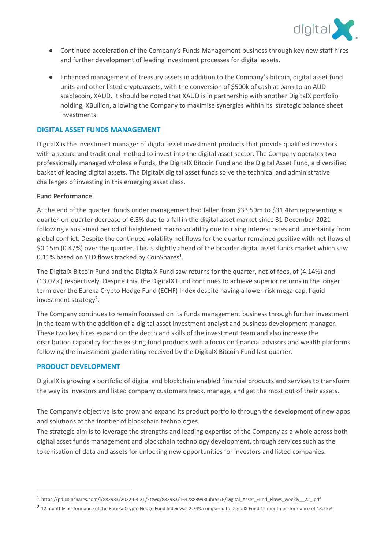

- Continued acceleration of the Company's Funds Management business through key new staff hires and further development of leading investment processes for digital assets.
- Enhanced management of treasury assets in addition to the Company's bitcoin, digital asset fund units and other listed cryptoassets, with the conversion of \$500k of cash at bank to an AUD stablecoin, XAUD. It should be noted that XAUD is in partnership with another DigitalX portfolio holding, XBullion, allowing the Company to maximise synergies within its strategic balance sheet investments.

#### **DIGITAL ASSET FUNDS MANAGEMENT**

DigitalX is the investment manager of digital asset investment products that provide qualified investors with a secure and traditional method to invest into the digital asset sector. The Company operates two professionally managed wholesale funds, the DigitalX Bitcoin Fund and the Digital Asset Fund, a diversified basket of leading digital assets. The DigitalX digital asset funds solve the technical and administrative challenges of investing in this emerging asset class.

#### **Fund Performance**

At the end of the quarter, funds under management had fallen from \$33.59m to \$31.46m representing a quarter-on-quarter decrease of 6.3% due to a fall in the digital asset market since 31 December 2021 following a sustained period of heightened macro volatility due to rising interest rates and uncertainty from global conflict. Despite the continued volatility net flows for the quarter remained positive with net flows of \$0.15m (0.47%) over the quarter. This is slightly ahead of the broader digital asset funds market which saw 0.11% based on YTD flows tracked by CoinShares $^1$ .

The DigitalX Bitcoin Fund and the DigitalX Fund saw returns for the quarter, net of fees, of (4.14%) and (13.07%) respectively. Despite this, the DigitalX Fund continues to achieve superior returns in the longer term over the Eureka Crypto Hedge Fund (ECHF) Index despite having a lower-risk mega-cap, liquid investment strategy<sup>2</sup>.

The Company continues to remain focussed on its funds management business through further investment in the team with the addition of a digital asset investment analyst and business development manager. These two key hires expand on the depth and skills of the investment team and also increase the distribution capability for the existing fund products with a focus on financial advisors and wealth platforms following the investment grade rating received by the DigitalX Bitcoin Fund last quarter.

### **PRODUCT DEVELOPMENT**

DigitalX is growing a portfolio of digital and blockchain enabled financial products and services to transform the way its investors and listed company customers track, manage, and get the most out of their assets.

The Company's objective is to grow and expand its product portfolio through the development of new apps and solutions at the frontier of blockchain technologies.

The strategic aim is to leverage the strengths and leading expertise of the Company as a whole across both digital asset funds management and blockchain technology development, through services such as the tokenisation of data and assets for unlocking new opportunities for investors and listed companies.

<sup>1</sup> https://pd.coinshares.com/l/882933/2022-03-21/5ttwq/882933/1647883993Iuhr5r7P/Digital\_Asset\_Fund\_Flows\_weekly\_\_22\_.pdf

<sup>2</sup> 12 monthly performance of the Eureka Crypto Hedge Fund Index was 2.74% compared to DigitalX Fund 12 month performance of 18.25%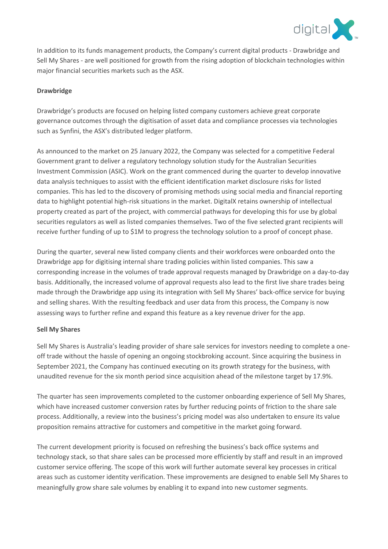

In addition to its funds management products, the Company's current digital products - Drawbridge and Sell My Shares - are well positioned for growth from the rising adoption of blockchain technologies within major financial securities markets such as the ASX.

#### **Drawbridge**

Drawbridge's products are focused on helping listed company customers achieve great corporate governance outcomes through the digitisation of asset data and compliance processes via technologies such as Synfini, the ASX's distributed ledger platform.

As announced to the market on 25 January 2022, the Company was selected for a competitive Federal Government grant to deliver a regulatory technology solution study for the Australian Securities Investment Commission (ASIC). Work on the grant commenced during the quarter to develop innovative data analysis techniques to assist with the efficient identification market disclosure risks for listed companies. This has led to the discovery of promising methods using social media and financial reporting data to highlight potential high-risk situations in the market. DigitalX retains ownership of intellectual property created as part of the project, with commercial pathways for developing this for use by global securities regulators as well as listed companies themselves. Two of the five selected grant recipients will receive further funding of up to \$1M to progress the technology solution to a proof of concept phase.

During the quarter, several new listed company clients and their workforces were onboarded onto the Drawbridge app for digitising internal share trading policies within listed companies. This saw a corresponding increase in the volumes of trade approval requests managed by Drawbridge on a day-to-day basis. Additionally, the increased volume of approval requests also lead to the first live share trades being made through the Drawbridge app using its integration with Sell My Shares' back-office service for buying and selling shares. With the resulting feedback and user data from this process, the Company is now assessing ways to further refine and expand this feature as a key revenue driver for the app.

#### **Sell My Shares**

Sell My Shares is Australia's leading provider of share sale services for investors needing to complete a oneoff trade without the hassle of opening an ongoing stockbroking account. Since acquiring the business in September 2021, the Company has continued executing on its growth strategy for the business, with unaudited revenue for the six month period since acquisition ahead of the milestone target by 17.9%.

The quarter has seen improvements completed to the customer onboarding experience of Sell My Shares, which have increased customer conversion rates by further reducing points of friction to the share sale process. Additionally, a review into the business's pricing model was also undertaken to ensure its value proposition remains attractive for customers and competitive in the market going forward.

The current development priority is focused on refreshing the business's back office systems and technology stack, so that share sales can be processed more efficiently by staff and result in an improved customer service offering. The scope of this work will further automate several key processes in critical areas such as customer identity verification. These improvements are designed to enable Sell My Shares to meaningfully grow share sale volumes by enabling it to expand into new customer segments.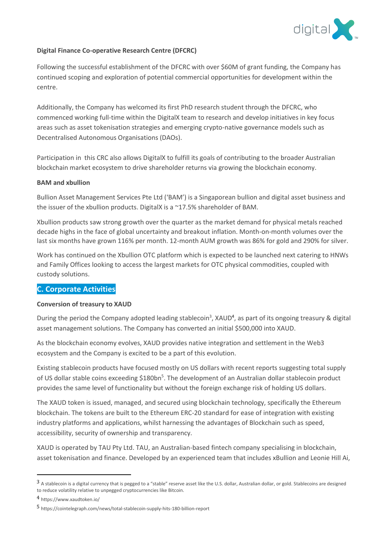

#### **Digital Finance Co-operative Research Centre (DFCRC)**

Following the successful establishment of the DFCRC with over \$60M of grant funding, the Company has continued scoping and exploration of potential commercial opportunities for development within the centre.

Additionally, the Company has welcomed its first PhD research student through the DFCRC, who commenced working full-time within the DigitalX team to research and develop initiatives in key focus areas such as asset tokenisation strategies and emerging crypto-native governance models such as Decentralised Autonomous Organisations (DAOs).

Participation in this CRC also allows DigitalX to fulfill its goals of contributing to the broader Australian blockchain market ecosystem to drive shareholder returns via growing the blockchain economy.

#### **BAM and xbullion**

Bullion Asset Management Services Pte Ltd ('BAM') is a Singaporean bullion and digital asset business and the issuer of the xbullion products. DigitalX is a ~17.5% shareholder of BAM.

Xbullion products saw strong growth over the quarter as the market demand for physical metals reached decade highs in the face of global uncertainty and breakout inflation. Month-on-month volumes over the last six months have grown 116% per month. 12-month AUM growth was 86% for gold and 290% for silver.

Work has continued on the Xbullion OTC platform which is expected to be launched next catering to HNWs and Family Offices looking to access the largest markets for OTC physical commodities, coupled with custody solutions.

### **C. Corporate Activities**

### **Conversion of treasury to XAUD**

During the period the Company adopted leading stablecoin<sup>3</sup>, XAUD<sup>4</sup>, as part of its ongoing treasury & digital asset management solutions. The Company has converted an initial \$500,000 into XAUD.

As the blockchain economy evolves, XAUD provides native integration and settlement in the Web3 ecosystem and the Company is excited to be a part of this evolution.

Existing stablecoin products have focused mostly on US dollars with recent reports suggesting total supply of US dollar stable coins exceeding \$180bn<sup>5</sup>. The development of an Australian dollar stablecoin product provides the same level of functionality but without the foreign exchange risk of holding US dollars.

The XAUD token is issued, managed, and secured using blockchain technology, specifically the Ethereum blockchain. The tokens are built to the Ethereum ERC-20 standard for ease of integration with existing industry platforms and applications, whilst harnessing the advantages of Blockchain such as speed, accessibility, security of ownership and transparency.

XAUD is operated by TAU Pty Ltd. TAU, an Australian-based fintech company specialising in blockchain, asset tokenisation and finance. Developed by an experienced team that includes xBullion and Leonie Hill Ai,

<sup>3</sup> A stablecoin is a digital currency that is pegged to a "stable" reserve asset like the U.S. dollar, Australian dollar, or gold. Stablecoins are designed to reduce volatility relative to unpegged cryptocurrencies like Bitcoin.

<sup>4</sup> https://www.xaudtoken.io/

<sup>5</sup> https://cointelegraph.com/news/total-stablecoin-supply-hits-180-billion-report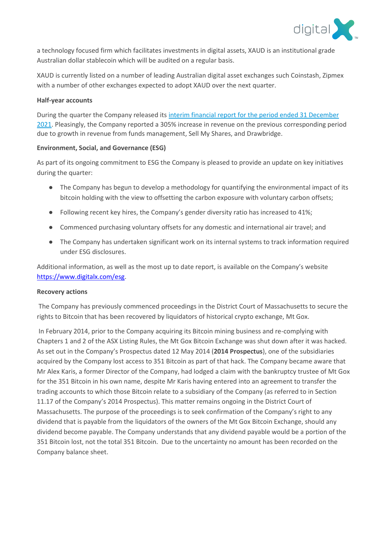

a technology focused firm which facilitates investments in digital assets, XAUD is an institutional grade Australian dollar stablecoin which will be audited on a regular basis.

XAUD is currently listed on a number of leading Australian digital asset exchanges such Coinstash, Zipmex with a number of other exchanges expected to adopt XAUD over the next quarter.

#### **Half-year accounts**

During the quarter the Company released its [interim financial report for the period ended 31 December](https://cdn-api.markitdigital.com/apiman-gateway/ASX/asx-research/1.0/file/2924-02492090-6A1078884?access_token=83ff96335c2d45a094df02a206a39ff4)  [2021.](https://cdn-api.markitdigital.com/apiman-gateway/ASX/asx-research/1.0/file/2924-02492090-6A1078884?access_token=83ff96335c2d45a094df02a206a39ff4) Pleasingly, the Company reported a 305% increase in revenue on the previous corresponding period due to growth in revenue from funds management, Sell My Shares, and Drawbridge.

#### **Environment, Social, and Governance (ESG)**

As part of its ongoing commitment to ESG the Company is pleased to provide an update on key initiatives during the quarter:

- The Company has begun to develop a methodology for quantifying the environmental impact of its bitcoin holding with the view to offsetting the carbon exposure with voluntary carbon offsets;
- Following recent key hires, the Company's gender diversity ratio has increased to 41%;
- Commenced purchasing voluntary offsets for any domestic and international air travel; and
- The Company has undertaken significant work on its internal systems to track information required under ESG disclosures.

Additional information, as well as the most up to date report, is available on the Company's website [https://www.digitalx.com/esg.](https://www.digitalx.com/esg)

#### **Recovery actions**

The Company has previously commenced proceedings in the District Court of Massachusetts to secure the rights to Bitcoin that has been recovered by liquidators of historical crypto exchange, Mt Gox.

In February 2014, prior to the Company acquiring its Bitcoin mining business and re-complying with Chapters 1 and 2 of the ASX Listing Rules, the Mt Gox Bitcoin Exchange was shut down after it was hacked. As set out in the Company's Prospectus dated 12 May 2014 (**2014 Prospectus**), one of the subsidiaries acquired by the Company lost access to 351 Bitcoin as part of that hack. The Company became aware that Mr Alex Karis, a former Director of the Company, had lodged a claim with the bankruptcy trustee of Mt Gox for the 351 Bitcoin in his own name, despite Mr Karis having entered into an agreement to transfer the trading accounts to which those Bitcoin relate to a subsidiary of the Company (as referred to in Section 11.17 of the Company's 2014 Prospectus). This matter remains ongoing in the District Court of Massachusetts. The purpose of the proceedings is to seek confirmation of the Company's right to any dividend that is payable from the liquidators of the owners of the Mt Gox Bitcoin Exchange, should any dividend become payable. The Company understands that any dividend payable would be a portion of the 351 Bitcoin lost, not the total 351 Bitcoin. Due to the uncertainty no amount has been recorded on the Company balance sheet.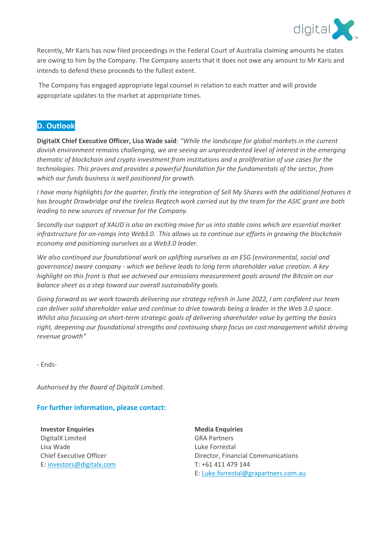

Recently, Mr Karis has now filed proceedings in the Federal Court of Australia claiming amounts he states are owing to him by the Company. The Company asserts that it does not owe any amount to Mr Karis and intends to defend these proceeds to the fullest extent.

The Company has engaged appropriate legal counsel in relation to each matter and will provide appropriate updates to the market at appropriate times.

## **D. Outlook**

**DigitalX Chief Executive Officer, Lisa Wade said**: *"While the landscape for global markets in the current dovish environment remains challenging, we are seeing an unprecedented level of interest in the emerging thematic of blockchain and crypto investment from institutions and a proliferation of use cases for the technologies. This proves and provides a powerful foundation for the fundamentals of the sector, from which our funds business is well positioned for growth.*

*I have many highlights for the quarter, firstly the integration of Sell My Shares with the additional features it has brought Drawbridge and the tireless Regtech work carried out by the team for the ASIC grant are both leading to new sources of revenue for the Company.*

*Secondly our support of XAUD is also an exciting move for us into stable coins which are essential market infrastructure for on-ramps into Web3.0. This allows us to continue our efforts in growing the blockchain economy and positioning ourselves as a Web3.0 leader.* 

*We also continued our foundational work on uplifting ourselves as an ESG (environmental, social and governance) aware company - which we believe leads to long term shareholder value creation. A key highlight on this front is that we achieved our emissions measurement goals around the Bitcoin on our balance sheet as a step toward our overall sustainability goals.* 

*Going forward as we work towards delivering our strategy refresh in June 2022, I am confident our team can deliver solid shareholder value and continue to drive towards being a leader in the Web 3.0 space. Whilst also focussing on short-term strategic goals of delivering shareholder value by getting the basics right, deepening our foundational strengths and continuing sharp focus on cost management whilst driving revenue growth"* 

- Ends-

*Authorised by the Board of DigitalX Limited.*

## **For further information, please contact:**

**Investor Enquiries** DigitalX Limited Lisa Wade Chief Executive Officer E: [investors@digitalx.com](mailto:investors@digitalx.com)

**Media Enquiries** GRA Partners Luke Forrestal Director, Financial Communications T: +61 411 479 144 E: [Luke.forrestal@grapartners.com.au](mailto:Luke.forrestal@grapartners.com.au)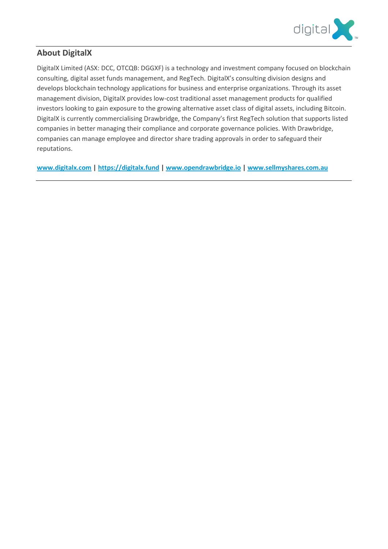

## **About DigitalX**

DigitalX Limited (ASX: DCC, OTCQB: DGGXF) is a technology and investment company focused on blockchain consulting, digital asset funds management, and RegTech. DigitalX's consulting division designs and develops blockchain technology applications for business and enterprise organizations. Through its asset management division, DigitalX provides low-cost traditional asset management products for qualified investors looking to gain exposure to the growing alternative asset class of digital assets, including Bitcoin. DigitalX is currently commercialising Drawbridge, the Company's first RegTech solution that supports listed companies in better managing their compliance and corporate governance policies. With Drawbridge, companies can manage employee and director share trading approvals in order to safeguard their reputations.

**[www.digitalx.com](http://www.digitalx.com/) | [https://digitalx.fund](https://digitalx.fund/) [| www.opendrawbridge.io](http://www.opendrawbridge.io/) [| www.sellmyshares.com.au](http://www.sellmyshares.com.au/)**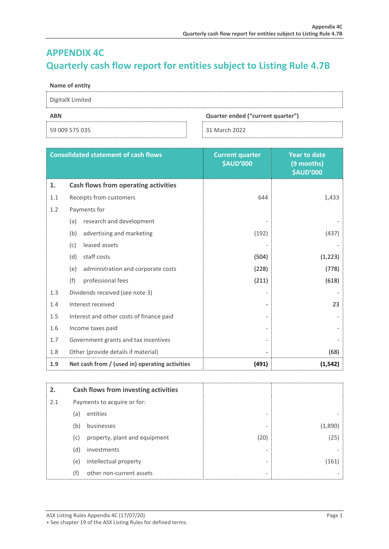# **APPENDIX 4C Quarterly cash flow report for entities subject to Listing Rule 4.7B**

#### **Name of entity**

| DigitalX Limited |  |
|------------------|--|
|                  |  |

59 009 575 035 31 March 2022

#### **ABN Quarter ended ("current quarter")**

|     | <b>Consolidated statement of cash flows</b>    | <b>Current quarter</b><br><b>\$AUD'000</b> | <b>Year to date</b><br>(9 months)<br><b>\$AUD'000</b> |
|-----|------------------------------------------------|--------------------------------------------|-------------------------------------------------------|
| 1.  | <b>Cash flows from operating activities</b>    |                                            |                                                       |
| 1.1 | Receipts from customers                        | 644                                        | 1,433                                                 |
| 1.2 | Payments for                                   |                                            |                                                       |
|     | research and development<br>(a)                |                                            |                                                       |
|     | (b)<br>advertising and marketing               | (192)                                      | (437)                                                 |
|     | leased assets<br>(c)                           |                                            |                                                       |
|     | (d)<br>staff costs                             | (504)                                      | (1, 223)                                              |
|     | administration and corporate costs<br>(e)      | (228)                                      | (778)                                                 |
|     | (f)<br>professional fees                       | (211)                                      | (618)                                                 |
| 1.3 | Dividends received (see note 3)                |                                            |                                                       |
| 1.4 | Interest received                              |                                            | 23                                                    |
| 1.5 | Interest and other costs of finance paid       |                                            |                                                       |
| 1.6 | Income taxes paid                              |                                            |                                                       |
| 1.7 | Government grants and tax incentives           |                                            |                                                       |
| 1.8 | Other (provide details if material)            |                                            | (68)                                                  |
| 1.9 | Net cash from / (used in) operating activities | (491)                                      | (1, 542)                                              |

| 2.  |     | Cash flows from investing activities |      |        |
|-----|-----|--------------------------------------|------|--------|
| 2.1 |     | Payments to acquire or for:          |      |        |
|     | (a) | entities                             |      |        |
|     | (b) | businesses                           |      | (1.890 |
|     | (c) | property, plant and equipment        | (20) | (25)   |
|     | (d) | investments                          |      |        |
|     | (e) | intellectual property                |      | 161]   |
|     | (f) | other non-current assets             | ۰    |        |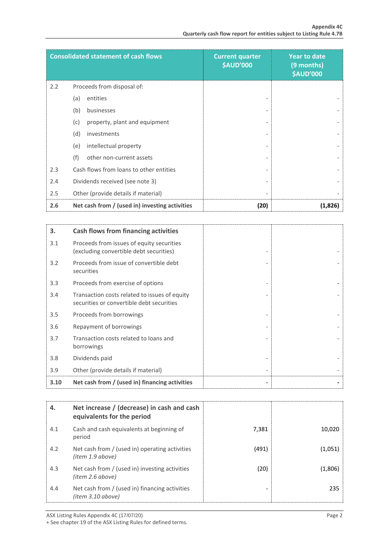|     | <b>Consolidated statement of cash flows</b>    | <b>Current quarter</b><br><b>\$AUD'000</b> | <b>Year to date</b><br>(9 months)<br><b>\$AUD'000</b> |
|-----|------------------------------------------------|--------------------------------------------|-------------------------------------------------------|
| 2.2 | Proceeds from disposal of:                     |                                            |                                                       |
|     | (a)<br>entities                                |                                            |                                                       |
|     | (b)<br>businesses                              |                                            |                                                       |
|     | (c)<br>property, plant and equipment           |                                            |                                                       |
|     | (d)<br>investments                             |                                            |                                                       |
|     | intellectual property<br>(e)                   |                                            |                                                       |
|     | (f)<br>other non-current assets                |                                            |                                                       |
| 2.3 | Cash flows from loans to other entities        |                                            |                                                       |
| 2.4 | Dividends received (see note 3)                |                                            |                                                       |
| 2.5 | Other (provide details if material)            |                                            |                                                       |
| 2.6 | Net cash from / (used in) investing activities | (20)                                       | (1,826)                                               |

| 3.   | <b>Cash flows from financing activities</b>                                                |
|------|--------------------------------------------------------------------------------------------|
| 3.1  | Proceeds from issues of equity securities<br>(excluding convertible debt securities)       |
| 3.2  | Proceeds from issue of convertible debt<br>securities                                      |
| 3.3  | Proceeds from exercise of options                                                          |
| 3.4  | Transaction costs related to issues of equity<br>securities or convertible debt securities |
| 3.5  | Proceeds from borrowings                                                                   |
| 3.6  | Repayment of borrowings                                                                    |
| 3.7  | Transaction costs related to loans and<br>borrowings                                       |
| 3.8  | Dividends paid                                                                             |
| 3.9  | Other (provide details if material)                                                        |
| 3.10 | Net cash from / (used in) financing activities                                             |

| 4.  | Net increase / (decrease) in cash and cash<br>equivalents for the period |       |         |
|-----|--------------------------------------------------------------------------|-------|---------|
| 4.1 | Cash and cash equivalents at beginning of<br>period                      | 7,381 | 10,020  |
| 4.2 | Net cash from / (used in) operating activities<br>(item 1.9 above)       | (491) | (1,051) |
| 4.3 | Net cash from / (used in) investing activities<br>(item 2.6 above)       | (20)  | (1,806) |
| 4.4 | Net cash from / (used in) financing activities<br>(item 3.10 above)      |       | 235     |

+ See chapter 19 of the ASX Listing Rules for defined terms.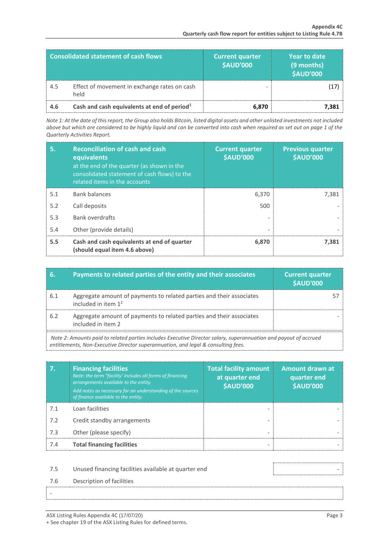|     | <b>Consolidated statement of cash flows</b>             | <b>Current quarter</b><br><b>\$AUD'000</b> | Year to date<br>(9 months)<br><b>\$AUD'000</b> |
|-----|---------------------------------------------------------|--------------------------------------------|------------------------------------------------|
| 4.5 | Effect of movement in exchange rates on cash<br>held    |                                            |                                                |
| 4.6 | Cash and cash equivalents at end of period <sup>1</sup> | 6.870                                      | 7.381                                          |

*Note 1: At the date of this report, the Group also holds Bitcoin, listed digital assets and other unlisted investments not included above but which are considered to be highly liquid and can be converted into cash when required as set out on page 1 of the Quarterly Activities Report.*

| 5.  | <b>Reconciliation of cash and cash</b><br>equivalents<br>at the end of the quarter (as shown in the<br>consolidated statement of cash flows) to the<br>related items in the accounts | <b>Current quarter</b><br><b>\$AUD'000</b> | <b>Previous quarter</b><br><b>\$AUD'000</b> |
|-----|--------------------------------------------------------------------------------------------------------------------------------------------------------------------------------------|--------------------------------------------|---------------------------------------------|
| 5.1 | <b>Bank balances</b>                                                                                                                                                                 | 6,370                                      | 7,381                                       |
| 5.2 | Call deposits                                                                                                                                                                        | 500                                        |                                             |
| 5.3 | Bank overdrafts                                                                                                                                                                      |                                            |                                             |
| 5.4 | Other (provide details)                                                                                                                                                              | ٠                                          |                                             |
| 5.5 | Cash and cash equivalents at end of quarter<br>(should equal item 4.6 above)                                                                                                         | 6,870                                      | 7,381                                       |

| 6.                                                                                                                                                                                                    | Payments to related parties of the entity and their associates                                | <b>Current quarter</b><br><b>\$AUD'000</b> |
|-------------------------------------------------------------------------------------------------------------------------------------------------------------------------------------------------------|-----------------------------------------------------------------------------------------------|--------------------------------------------|
| 6.1                                                                                                                                                                                                   | Aggregate amount of payments to related parties and their associates<br>included in item $12$ |                                            |
| 6.2                                                                                                                                                                                                   | Aggregate amount of payments to related parties and their associates<br>included in item 2    |                                            |
| Note 2: Amounts paid to related parties includes Executive Director salary, superannuation and payout of accrued<br>entitlements, Non-Executive Director superannuation, and legal & consulting fees. |                                                                                               |                                            |

| 7.  | <b>Financing facilities</b><br>Note: the term "facility' includes all forms of financing<br>arrangements available to the entity.<br>Add notes as necessary for an understanding of the sources<br>of finance available to the entity. | <b>Total facility amount</b><br>at quarter end<br><b>\$AUD'000</b> | <b>Amount drawn at</b><br>quarter end<br><b>\$AUD'000</b> |
|-----|----------------------------------------------------------------------------------------------------------------------------------------------------------------------------------------------------------------------------------------|--------------------------------------------------------------------|-----------------------------------------------------------|
| 7.1 | Loan facilities                                                                                                                                                                                                                        |                                                                    |                                                           |
| 7.2 | Credit standby arrangements                                                                                                                                                                                                            |                                                                    |                                                           |
| 7.3 | Other (please specify)                                                                                                                                                                                                                 | $\overline{\phantom{0}}$                                           |                                                           |
| 7.4 | <b>Total financing facilities</b>                                                                                                                                                                                                      |                                                                    |                                                           |
|     |                                                                                                                                                                                                                                        |                                                                    |                                                           |
| 7.5 | Unused financing facilities available at quarter end                                                                                                                                                                                   |                                                                    |                                                           |
| 7.6 | Description of facilities                                                                                                                                                                                                              |                                                                    |                                                           |

-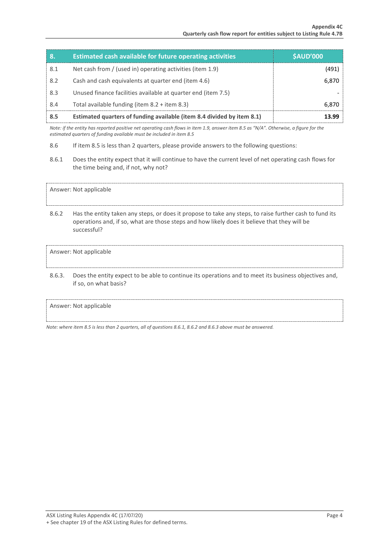| 8.  | <b>Estimated cash available for future operating activities</b>        | <b>\$AUD'000</b> |
|-----|------------------------------------------------------------------------|------------------|
| 8.1 | Net cash from / (used in) operating activities (item 1.9)              | (491)            |
| 8.2 | Cash and cash equivalents at quarter end (item 4.6)                    | 6,870            |
| 8.3 | Unused finance facilities available at quarter end (item 7.5)          |                  |
| 8.4 | Total available funding (item $8.2 +$ item $8.3$ )                     | 6,870            |
| 8.5 | Estimated quarters of funding available (item 8.4 divided by item 8.1) | 13.99            |

*Note: if the entity has reported positive net operating cash flows in item 1.9, answer item 8.5 as "N/A". Otherwise, a figure for the estimated quarters of funding available must be included in item 8.5*

- 8.6 If item 8.5 is less than 2 quarters, please provide answers to the following questions:
- 8.6.1 Does the entity expect that it will continue to have the current level of net operating cash flows for the time being and, if not, why not?

Answer: Not applicable

8.6.2 Has the entity taken any steps, or does it propose to take any steps, to raise further cash to fund its operations and, if so, what are those steps and how likely does it believe that they will be successful?

#### Answer: Not applicable

8.6.3. Does the entity expect to be able to continue its operations and to meet its business objectives and, if so, on what basis?

#### Answer: Not applicable

*Note: where item 8.5 is less than 2 quarters, all of questions 8.6.1, 8.6.2 and 8.6.3 above must be answered.*